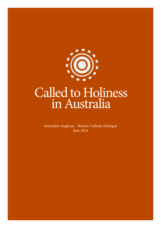

Australian Anglican – Roman Catholic Dialogue June 2014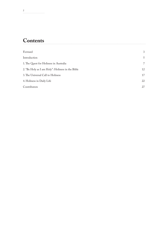## **Contents**

| Forward                                          | 3              |
|--------------------------------------------------|----------------|
| Introduction                                     | 5              |
| 1. The Quest for Holiness in Australia           | $\overline{7}$ |
| 2. "Be Holy as I am Holy": Holiness in the Bible | 12             |
| 3. The Universal Call to Holiness                | 17             |
| 4. Holiness in Daily Life                        | 22             |
| Contributors                                     | 27             |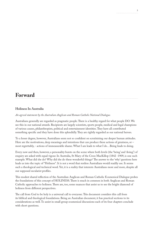### **Forward**

### **Holiness In Australia**

*An agreed statement by the Australian Anglican and Roman Catholic National Dialogue.*

Australians generally are regarded as pragmatic people. There is a healthy regard for what people DO. We see this in our national awards. Recipients are largely scientists, sports people, medical and legal champions of various causes, philanthropists, political and entertainment identities. They have all contributed something specific and they have done this splendidly. They are rightly regarded as our national heroes.

To a lesser degree, however, Australians seem not so confident on scrutinising our deeper human attitudes. Here are the motivations, deep meanings and intentions that can produce these actions of greatness, or – most regrettably, - actions of immeasurable shame. What I am leads to what I do…Being leads to doing.

Every now and then, however, a personality bursts on the scene where both levels (the 'being' and 'doing') of enquiry are asked with equal vigour. In Australia, St Mary of the Cross MacKillop (1842 -1909, is one such example. What did she do? Why did she do these wonderful things? The answer to the 'why' questions here leads us into the topic of "Holiness". It is not a word that restless Australians would readily use. It seems such a theological and technical word. Yet, it is a reality that interests Australians more and more, despite all our supposed secularist profiles.

This modest shared reflection of the Australian Anglican and Roman Catholic Ecumenical Dialogue probes the foundations of this concept of HOLINESS. There is much in common in both Anglican and Roman Catholic approaches to holiness. There are, too, some nuances that assist us to see the bright diamond of holiness from different perspectives.

The call from God to be holy is a universal call to everyone. This document considers this call from its biblical and theological foundations. Being an Australian document, it has practical sections to its considerations as well. To assist in small group ecumenical discussions each of its four chapters conclude with short questions.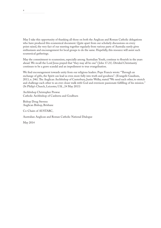May I take this opportunity of thanking all those on both the Anglican and Roman Catholic delegations who have produced this ecumenical document. Quite apart from our scholarly discussions on every point raised, the very fact of our meeting together regularly from various parts of Australia surely gives enthusiasm and encouragement for local groups to do the same. Hopefully, this resource will assist such ecumenical gatherings.

May the commitment to ecumenism, especially among Australian Youth, continue to flourish in the years ahead. We recall the Lord Jesus prayed that "they may all be one" ( John 17.21). Divided Christianity continues to be a grave scandal and an impediment to true evangelisation.

We find encouragement towards unity from our religious leaders. Pope Francis wrote: "Through an exchange of gifts, the Spirit can lead us even more fully into truth and goodness". (Evangelii Gaudium, 2013, n. 246). The Anglican Archbishop of Canterbury, Justin Welby, stated:"We need each other, to stretch and challenge each other to an ever closer walk with God and evermore passionate fulfilling of his mission." (St Philip's Church, Leicester, U.K., 24 May 2013)

Archbishop Christopher Prowse Catholic Archbishop of Canberra and Goulburn

Bishop Doug Stevens Anglican Bishop, Brisbane

Co-Chairs of AUSTARC,

Australian Anglican and Roman Catholic National Dialogue

May 2014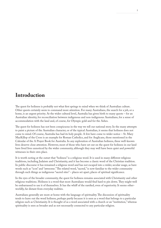## **Introduction**

The quest for holiness is probably not what first springs to mind when we think of Australian culture. Other quests certainly seem to command more attention. For many Australians, the search for a job, or a home, is an urgent priority. At the wider cultural level, Australia has given birth to many quests – for an Australian identity, for reconciliation between indigenous and non-indigenous Australians, for a sense of accommodation with the land and, of course, for Olympic gold and for the Ashes.

The quest for holiness has not been conspicuous in the way we tell our national story. In the many attempts to paint a picture of the Australian character, or of the typical Australian, it seems that holiness does not come to mind. Of course, Australia has had its holy people. A few have come to wider notice – St. Mary MacKillop of the Cross is an example for Roman Catholics, and for Anglicans, those mentioned in the Calendar of the A Prayer Book for Australia. In any exploration of Australian holiness, these well-known lives deserve close attention. However, most of those who have set out on the quest for holiness in our land have lived lives unnoticed by the wider community, although they may well have been quiet and powerful witnesses in their own place.

It is worth noting at the outset that "holiness" is a religious word. It is used in many different religious traditions, including Judaism and Christianity, and it has become a classic word of the Christian tradition. In public discourse it has remained a religious word and has not escaped into a wider, secular usage, as have words such as "icon" and "awesome." The related word, "sacred," is now familiar to the wider community through such things as indigenous "sacred sites" – places set apart, places of spiritual significance.

In the eyes of the broader community, the quest for holiness remains associated with Christianity and other religious traditions. Holiness is a word that most Australians would find hard to pin down. They might well be embarrassed to use it of themselves. It has the whiff of the rarefied, even of superiority. It seems otherworldly, far distant from everyday realities.

Australians generally are more at home with the language of spirituality. The discussion of spirituality tends to leave out the word holiness, perhaps partly because it is seen as a word that belongs to a particular religion such as Christianity. It is thought of as a word associated with a church or an "institution," whereas spirituality is seen as broader and as not necessarily connected to any particular religion.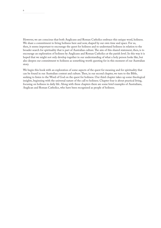However, we are conscious that both Anglicans and Roman Catholics embrace this unique word, holiness. We share a commitment to living holiness here and now, shaped by our own time and space. For us, then, it seems important to encourage the quest for holiness and to understand holiness in relation to the broader search for spirituality that is part of Australian culture. The aim of this shared statement, then, is to encourage an exploration of holiness by Anglicans and Roman Catholics at the parish level. In this way it is hoped that we might not only develop together in our understanding of what a holy person looks like, but also deepen our commitment to holiness as something worth questing for in this moment of our Australian story.

We begin this book with an exploration of some aspects of the quest for meaning and for spirituality that can be found in our Australian context and culture. Then, in our second chapter, we turn to the Bible, seeking to listen to the Word of God on the quest for holiness. Our third chapter takes up some theological insights, beginning with the universal nature of the call to holiness. Chapter four is about practical living, focusing on holiness in daily life. Along with these chapters there are some brief examples of Australians, Anglican and Roman Catholics, who have been recognized as people of holiness.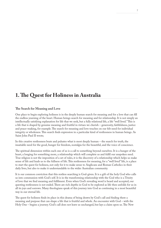## **1. The Quest for Holiness in Australia**

#### **The Search for Meaning and Love**

One place to begin exploring holiness is in the deeply human search for meaning and for a love that can fill the endless yearning of the heart. Human beings search for meaning and for relationship. It is not simply an intellectually satisfying explanation for life that we seek, but a fully relational life, a life "well lived." This is a life that is shaped by genuine meaning and fruitful in virtues we cherish – generosity, faithfulness, justice and peace-making, for example. The search for meaning and love touches on our felt need for individual integrity or wholeness. This search finds expression in a particular kind of restlessness in human beings. As Saint John Paul II wrote;

In this creative restlessness beats and pulsates what is most deeply human – the search for truth, the insatiable need for the good, hunger for freedom, nostalgia for the beautiful, and the voice of conscience.

The spiritual dimension within each one of us is a call to something beyond ourselves. It is a hunger of the heart, a longing for something more, a relationship which will complete us and fulfil our unspoken need. True religion is not the imposition of a set of rules, it is the discovery of a relationship which helps us make sense of life and leads us to the fullness of life. This restlessness for meaning, for a "well lived" life, is a place to start the quest for holiness, not only for it to make sense to Anglicans and Roman Catholics in their daily lives, but also to make it understandable to the wider Australian community.

It is our common conviction that this restless searching is God-given. It is a gift of the holy God who calls us into communion with God's self. It is in the transforming relationship with the God who is a Trinity of love that we find meaning and fulfilment. Even when God's revealing word is heard and accepted, our questing restlessness is not ended. There are rich depths in God to be explored as life then unfolds for us in all its joys and sorrows. Many theologians speak of this journey into God as continuing in a most beautiful way in our eternal life.

The quest for holiness finds its place in this drama of being drawn by God's call and finding there a meaning and purpose that can shape a life that is fruitful and whole. An encounter with God – with the Holy One – begins a journey. God's call does not leave us unchanged, but lays a claim upon us. The New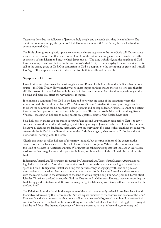Testament describes the followers of Jesus as a holy people and demands that they live in holiness. The quest for holiness is simply the quest for God. Holiness is union with God. A holy life is a life lived in communion with God.

The Bible places great emphasis upon a concrete and sincere response to the holy God's call. This response involves a move away from that which is not God towards that which brings us closer to God. This is the conversion of mind, heart and life, to which Jesus calls us: "The time is fulfilled, and the kingdom of God has come near; repent, and believe in the good news" (Mark 1:14). In our everyday lives, we experience this call in the urging grace of God. Our conversion to God is a response to the prompting of grace, and is itself God's gift. This response is meant to shape our lives both inwardly and outwardly.

### **Signposts in Our Land**

How do time and place mark holiness? Anglicans and Roman Catholics believe that holiness has but one source – the Holy Trinity. However, the way holiness shapes our lives means there is no "one size that fits all." The extraordinary, varied lives of holy people in both our communities offer shining testimony to this. So time and place will affect the way holiness is shaped.

If holiness is a summons from God in the here and now, what are some of the situations where this summons might be heard in our land? What "signposts" in our Australian time and place might guide us to where the summons can be heard, lay a claim upon us and be responded to? Holiness cannot be a retreat into an imagined past or an escape into a false perfection. The former Archbishop of Canterbury, Rowan Williams, speaking on holiness to young people on a pastoral visit to New Zealand, has said:

So, a holy person makes you see things in yourself and around you you hadn't seen before. That is to say, it enlarges the world rather than shrinking it, which is why we say of Jesus he is the most Holy One, because he above all changes the landscape, casts a new light on everything. You can't look at anything the same way afterwards. In St. Paul in the Second Letter to the Corinthians again, when we're in Christ Jesus there's a new creation, nothing looks the same.

Clearly this is not the false holiness of the narrow-minded, but the true holiness of the generous, the compassionate, the large-hearted. It is the holiness of the God of Jesus. Where is there an openness to this kind of holiness in Australian culture? We suggest the following signposts that indicate an Australian restlessness that can guide us on the quest for holiness, as places where God's call might be heard in this land:

Indigenous Australians. The struggle for justice by Aboriginal and Torres Strait Islander Australians has highlighted to the wider Australian community people in our midst who are unapologetic about "sacred space and time." Indigenous Australians bring this particular way of engaging with land as a place of transcendence to the wider Australian community to ponder. For indigenous Australians the encounter with the sacred occurs in the experience of the land to which they belong. For Aboriginal and Torres Strait Islander Christians, the land is made by God the Creator, and held in trust. Holiness involves respecting the land, being good custodians of it. It involves living in right relationship with God, with each other and with the land itself.

The Relationship to the Land. In the experience of the land, more recently arrived Australians have found themselves addressed by the transcendent. Dare we expose ourselves to the vastness and silence of the land? Can we allow the land to teach us about our smallness and vulnerability, to call us to humility before God and God's creation? The land has been something with which Australians have had to struggle – in drought, bushfire and flood. The dramatic landscape of Australia opens us to what is beyond us, to mystery and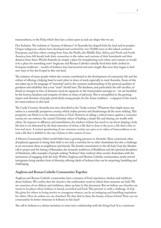transcendence, to the Holy, which then lays a claim upon us and can shape who we are.

Our Isolation. The isolation or "tyranny of distance" of Australia has shaped both the land and its peoples. Unique indigenous cultures have developed and survived for over 50,000 years on this island continent. Europeans, and then others coming from Asia, the Pacific, the Middle East, Africa, and North and South America, have felt keenly both their connection to the values and customs of their homelands and their distance from them. Would Australia be simply a place for transplanting such values and customs or would it be a place for something new? Anglicans and Roman Catholics initially lived their faith clothed in European traditions – models of holiness they had received and were taught. But soon they began to find new ways to live the Gospel in this vast land.

The isolation of many people within the country contributed to the development of community life and the culture of offering a helping hand to each other in times of need, especially in rural Australia. Some of this was taken up in the language of "mateship" and in the common understanding of the personal qualities of goodness and reliability that a true "mate" should have. The kindness, and particularly the self-sacrifice, of friend or stranger in time of dramatic need are signposts to the transcendent amongst us – we are humbled by the bravery, kindness and integrity of others in times of adversity. This is exemplified in the growing respect and devotion of people, particularly young people, for the Anzac tradition – a signpost of the search for transcendence in this land.

The Lucky Country. Australia was once described as the "lucky country." Whatever that might mean, our nation is a materially prosperous country, which makes poverty and disadvantage all the more striking. This prosperity can blind us to the transcendent, to God. However, in taking a critical stance against a consumer society, we can embrace the central Christian values of leading a simple life and sharing our wealth with others. In response to affluence and wastefulness, the wisdom of Jesus has much to say about shaping a holy life that is not distracted by the fatal attraction of riches; a life that is close to the poor; a life that is free to love and serve. A serious questioning of our consumer society can open us to values of transcendence as we seek a life that is faithful to the way of Jesus in this context of ours.

A Diverse Community. Other world faiths have a growing presence in Australia. Their communal, often disciplined, approach to living their faith is not only a curiosity for us other Australians but also a challenge as we encounter them as neighbours and friends. The Jewish commitment to the all-holy God, the Muslim call to prayer and the fasting of Ramadan, the monastic traditions of Buddhism and the spiritual disciplines of Hinduism, offer examples of people seeking "holiness" that confront often secular Australians with the seriousness of engaging with the holy. Within Anglican and Roman Catholic communities, newly arrived immigrants bring another form of diversity, offering ideals of holiness that can be surprising, humbling and challenging.

### **Anglican and Roman Catholic Communities Together**

Anglican and Roman Catholic communities have a treasury of lived experience, wisdom and traditions about holiness. We confess that the church is the earthenware vessel in which these treasures are held. We are conscious of our failures and sinfulness, taken up later in this document. But we believe our churches are meant to be places where holiness is found, nourished and lived. This presents us with a challenge. A holy life, given for others in loving service or courageous witness, can be an intriguing and humbling inspiration for others. How do seekers see our churches? Do they find in them the beauty of Jesus Christ? How can our communities be better witnesses to holiness in this land?

The call to holiness is a divine invitation to enter into a relationship with the living God. It is a summons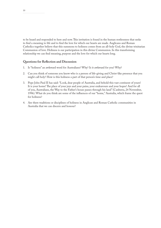to be heard and responded to here and now. This invitation is found in the human restlessness that seeks to find a meaning to life and to find the love for which our hearts are made. Anglicans and Roman Catholics together believe that this summons to holiness comes from an all-holy God, the divine trinitarian Communion of love. Holiness is our participation in this divine Communion. In this transforming relationship we can find meaning, purpose and the love for which our hearts long.

### **Questions for Reflection and Discussion**

- 1. Is "holiness" an awkward word for Australians? Why? Is it awkward for you? Why?
- 2. Can you think of someone you know who is a person of life-giving and Christ-like presence that you might call holy? How is this holiness a part of that person's time and place?
- 3. Pope John Paul II has said: "Look, dear people of Australia, and behold this vast continent of yours! It is your home! The place of your joys and your pains, your endeavours and your hopes! And for all of you, Australians, the Way to the Father's house passes through his land" (Canberra, 24 November, 1996). What do you think are some of the influences of our "home," Australia, which frame the quest for holiness?
- 4. Are there traditions or disciplines of holiness in Anglican and Roman Catholic communities in Australia that we can discern and honour?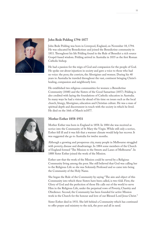

### **John Bede Polding 1794-1877**

John Bede Polding was born in Liverpool, England, on November 18, 1794. He was educated by Benedictines and joined the Benedictine community in 1811. Throughout his life Polding found in the Rule of Benedict a rich source Gospel-based wisdom. Polding arrived in Australia in 1835 as the first Roman Catholic bishop.

He had a passion for the reign of God and compassion for the people of God. He spoke out about injustices in society and gave a voice to those who had no voice: the poor, the convicts, the Aborigines and women. During his 40 years in Australia he traveled throughout the vast, continent bringing Christ's healing, compassion and neighbourly love.

He established two religious communities for women: a Benedictine Community (1848) and the Sisters of the Good Samaritan (1857). Polding is also credited with laying the foundations of Catholic education in Australia. In many ways he had a vision far ahead of his time on issues such as the local church, liturgy, Aborigines, education and Christian culture. He was a man of spiritual depth and discernment in touch with the society in which he lived. He died on the 16th of March in1877.



#### **Mother Esther 1858-1931**

Mother Esther was born in England in 1858. In 1884 she was received as novice into the Community of St Mary the Virgin. While still only a novice, Esther fell ill and it was felt that a warmer climate would help her recover. It was suggested she go to Australia for twelve months.

Although a growing and prosperous city, many people in Melbourne struggled with poverty, disease and disadvantage. In 1884 some members of the Church of England formed "The Mission to the Streets and Lanes of Melbourne". In 1888 Sister Esther joined the work of the Mission.

Esther saw that the work of the Mission could be served by a Religious Community living among the poor. She still believed that God was calling her to the Religious Life so she was Solemnly Professed and so came into being the Community of the Holy Name.

She began the Rule of the Community by saying "The aim and object of this Community into which these Sisters have been called, is two-fold. First, the Glory of God and the perfection of those He calls out of the world to serve Him in the Religious Life, under the perpetual vows of Poverty, Chastity and Obedience. Second, the Community has been founded for active Mission work in the Church for the honour and love of our Blessed Lord Jesus Christ."

Sister Esther died in 1931. She left behind a Community which has continued to offer prayer and ministry to the sick, the poor and all in need.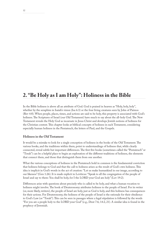## **2. "Be Holy as I am Holy": Holiness in the Bible**

In the Bible holiness is above all an attribute of God. God is praised in heaven as "Holy, holy, holy", whether by the seraphim in Isaiah's vision (Isa 6:3) or the four living creatures seen by John of Patmos (Rev 4:8). When people, places, times, and actions are said to be holy, this property is associated with God's holiness. The Scriptures of Israel (our Old Testament) have much to say about the all-holy God. The New Testament reveals the Holy God as incarnate in Jesus Christ and develops Jewish notions of holiness for the Christian context. This chapter looks at biblical concepts of holiness in each Testament, considering especially human holiness in the Pentateuch, the letters of Paul, and the Gospels.

### **Holiness in the Old Testament**

It would be a mistake to look for a single conception of holiness in the books of the Old Testament. The various books, and the traditions within them, point to understandings of holiness that, while clearly connected, reveal subtle but important differences. The first five books (sometimes called the "Pentateuch" or "Torah") can be a helpful place to begin an exploration of the different traditions of holiness, the elements that connect them, and those that distinguish them from one another.

What the various conceptions of holiness in the Pentateuch hold in common is the fundamental conviction that holiness belongs to God and that the call to holiness arises as the result of God's own holiness. This idea is implicit in God's words in the act of creation: "Let us make humankind in our image, according to our likeness" (Gen 1:26). It is made explicit in Leviticus: "Speak to all the congregation of the people of Israel and say to them: You shall be holy, for I the LORD your God am holy" (Lev 19:2).

Differences arise with questions about precisely who is called to be holy, and what a human vocation to holiness might involve. The book of Deuteronomy attributes holiness to the people of Israel. For its writer (or, more likely, writers), the people of Israel are holy, just as God is holy, and this holiness has consequences for their actions. For Deuteronomy, the holiness of the people of Israel is the rationale for their obedience to God's Law (or "Torah"). This can be seen in passages where a legal stipulation is followed by the words "For you are a people holy to the LORD your God" (e.g., Deut 7:6; 14:2, 21). A similar idea is found in the prophecy of Jeremiah.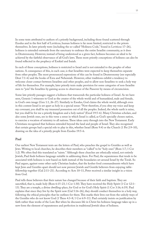In some texts attributed to authors of a priestly background, including those found scattered through Exodus and in the first half of Leviticus, human holiness is far more limited, restricted to the priests themselves. In later priestly texts (including the so-called "Holiness Code," found in Leviticus 17–26), holiness is extended outwards from the sanctuary to embrace the entire Israelite community, as it does in Deuteronomy. However, instead of being understood as a given fact, holiness becomes an ideal to be achieved by the faithful observance of all God's laws. These more priestly conceptions of holiness can also be found reflected in the prophecy of Ezekiel and Isaiah.

In each of these conceptions, holiness is restricted to Israel and is not extended to the peoples of other nations. A consequence of this, in each case, is that Israelites were expected to keep themselves separate from other peoples. The most pronounced expressions of this can be found in Deuteronomy (see especially Deut 7:1–6) and the books of Ezra and Nehemiah. However, other traditions exhibit a tendency to welcome closer contact between Israelites and other peoples, and to allow non-Israelites to seek a holy way of life for themselves. For example, later priestly texts make provision for some categories of non-Israelite men to "join" the Israelites by gaining access to observance of the Passover by means of circumcision.

Some late priestly passages suggest a holiness that transcends the particular holiness of Israel. As we have seen, Genesis 1 witnesses to God as the creator of the whole world and of humankind, male and female, in God's own image (Gen 1:1, 26–27). Similarly in Exodus, God claims the whole world, although even in this context Israel is set apart as holy in a special sense: "Now therefore, if you obey my voice and keep my covenant, you shall be my treasured possession out of all the peoples. Indeed, the whole earth is mine, but you shall be for me a priestly kingdom and a holy nation" (Exod 19:5–6). Many Christian scholars, and also some Jewish ones, see in this verse a sense in which Israel is called, as God's specially chosen nation, to exercise a vocation of ministry to all nations. These ideas carry through into the New Testament. Early Christians recognised that holiness extended beyond the land and people of Israel. They also recognised that certain groups had a special role to play in this, whether Israel (Rom 9:4) or the Church (1 Pet 2:9–10), drawing on the idea of a priestly people from Exodus 19:5–6.

### **Paul**

Our earliest New Testament texts are the letters of Paul, who preaches the gospel to Gentiles as well as Jews. Writing to local churches, he describes their members as "called" to be "holy ones" (Rom 1:7; 1 Cor 1:2). We often find this translated as "saints." Although these churches are ethnically mixed, not entirely Jewish, Paul finds holiness language suitable in addressing them. For Paul, the separateness that tends to be associated with holiness is now based on faith instead of the boundaries set around Israel by the Torah. So Paul argues, against some other early Christian leaders, that the kosher food commandments which have kept Jews and Gentiles apart should not now prevent Jewish and Gentile believers from enjoying tablefellowship together (Gal 2:11–21). According to Acts 10–11, Peter received a similar insight in a vision from God.

Paul tells these believers that their nature has changed because of their faith and baptism. They are sanctified, that is, made holy (Rom 6:15–23; 1 Cor 1:30). They have received the Holy Spirit (1 Cor 12:1– 13). They are a temple, a divine dwelling-place, for God or for God's Holy Spirit (1 Cor 3:16; 6:19). Paul explains that since they live by the Spirit now (Gal 5:16–26), they should conduct themselves in a holy way, following the ethical principles that he outlines for them. This marks their lives out from the unholy ways of the Gentiles who do not know God (1 Thess 4:3–8; 1 Cor 6:9–11). Paul certainly insists on justification by faith rather than works of the Law. But when he discusses life in Christ his holiness-language takes up in a new form the element of separateness and perfection in traditional Jewish ideas of holiness.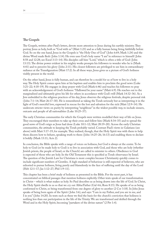### **The Gospels**

The Gospels, written after Paul's letters, devote more attention to Jesus during his earthly ministry. They portray Jesus as holy, both as "God with us" (Matt 1:23) and as a fully human being living faithfully before God. So on the one hand, Jesus in the Gospels is "the Holy One of God" ( John 6:69; Mark 1:24) and the divine Word made flesh ( John 1:14). He even uses God's holy name "I am" in reference to himself ( John 8:58 and 12:28; see Exod 3:13–14). His disciples call him "Lord," which is often a title of God ( John 13:13). The divine power evident in his mighty works prompts his followers to wonder who he is (Mark 4:41) and to perceive his glory ( John 2:11). His closest followers are privileged to see him in extraordinary radiance at the Transfiguration (Matt 17:2). In all these ways, Jesus gives us a picture of God's holiness visibly present in the world.

On the other hand, Jesus is fully human, and can therefore be a model for us of how to live in a holy way. The Holy Spirit comes upon him at his baptism and enables him to proclaim the good news (Luke 3:21–22; 4:18–19). He engages in deep prayer with God (Mark 6:46) and teaches his followers to pray with an acknowledgement of God's holiness: "Hallowed be your name" (Matt 6:9). He reaches out to the marginalised and ultimately gives his life for others in accordance with God's will (Mark 14:32–36). As a Jew embedded in the religious practices of his day, Jesus observes the religious festivals, despite personal risk ( John 7:1–14; Matt 26:17–30). He is remembered as taking the Torah seriously but as interpreting it in the light of God's merciful love, expressed in rescue for the lost and salvation for the sick (Matt 12:9–14). He undercuts stricter views on purity by interpreting "neighbour" in the widest possible way, to include sinners, outcasts and people of all nationalities (Luke 10:25–37).

The early Christian communities for which the Gospels were written modelled their way of life on Jesus. They encouraged their members to take up their cross and follow him (Mark 8:34–35) and to spread the good news of God's reign as Jesus had done (Luke 10:1–12; Matt 28:19–20). Across the early Christian communities, the attitude to keeping the Torah probably varied. Contrast Paul's views in Galatians (see above) with Matt 5:17–19, for example. They realised, though, that the Holy Spirit was with them to help them discern how to behave, speaking truth to them (John 14:25–26; 16:13) and enabling them to declare it boldly (Mark 13:11; Acts 2).

In conclusion, the Bible speaks with a range of voices on holiness, but God is always at the centre. To be holy to God (or be made holy to God) is to live in association with God, and those who are holy (whether Jewish priests, the people of Israel, or the Church) are called to minister to others. Obedience to God is expected of those who are holy. In the Old Testament this is specified as Torah observance by Israel. The question of the Jewish Law for Christians is more complex because Christianity quickly comes to include significant numbers of Gentiles. A high standard of behaviour is still expected of believers, who are exhorted to pursue holiness, living purely and blamelessly in the face of suffering until the day of the Lord (Heb 12:1–17; Jas 1:12–27; Phil 1:9–11).

This chapter has been a brief study of holiness as presented in the Bible. For the most part, it has concentrated on biblical passages that mention holiness explicitly. Other texts speak of our transformation in Christ – which is what makes us holy. So Paul describes us as being drawn into the life of God. In Christ, the Holy Spirit dwells in us so that we cry out Abba/Father (Gal 4:6; Rom 8:15). He speaks of us as being conformed to Christ, so being transformed from one degree of glory to another (2 Cor 3:18). In John Jesus speaks of being born again of the Spirit ( John 3:6), and says: "I am in my Father, and you are in me, and I in you" ( John 14:20). In texts such as these we find the basis for the church's conviction that holiness is nothing less than our participation in the life of the Trinity. We are transformed and deified through the Word and in the Holy Spirit, becoming "partakers of the divine nature" (2 Pet 1:4).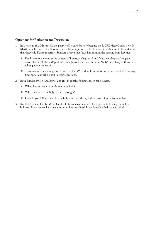#### **Questions for Reflection and Discussion**

- 1. In Leviticus 19:2 Moses tells the people of Israel to be holy because the LORD their God is holy. In Matthew 5:48, part of the Sermon on the Mount, Jesus tells his listeners that they are to be perfect as their heavenly Father is perfect. Scholars believe that Jesus has in mind the passage from Leviticus.
	- i. Read these two verses in the context of Leviticus chapter 19 and Matthew chapter 5 to get a sense of what "holy" and "perfect" mean. Jesus doesn't use the word "holy" here. Do you think he is talking about holiness?
	- ii. These two texts encourage us to imitate God. What does it mean for us to imitate God? You may find Ephesians 5:1 helpful in your reflections.
- 2. Both Exodus 19:3–6 and Ephesians 1:3–14 speak of being chosen for holiness.
	- i. What does it mean to be chosen to be holy?
	- ii. Who is chosen to be holy in these passages?

iii. How do you follow the call to be holy – as individuals, and as a worshipping community?

3. Read Colossians 1:9–12. What habits of life are recommended for a person following the call to holiness? How can we help one another to live holy lives? How does God help us with this?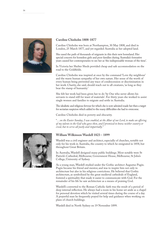

### **Caroline Chisholm 1808-1877**

Caroline Chisholm was born at Northampton, 30 May 1808, and died in London, 25 March 1877, and yet regarded Australia as her adopted land.

She eased the path of thousands of migrants in this their new homeland. Her special concern for homeless girls and poor families during Australia's formative years caused her contemporaries to see her as 'the indispensable woman of the time'.

In Victoria her Shelter Sheds provided cheap and safe accommodation on the road to the Goldfields.

Caroline Chisholm was inspired at once by the command 'Love thy neighbour' and the warm human sympathy of her own nature. Her sense of the worth of every human being prevented any trace of condescension or discrimination in her work. Charity, she said, should reach out to all creatures, 'as long as they bear the stamp of humanity.'

She felt her work had been given her to do 'by One who never allows his servants to stand still for want of materials'. For thirty years she worked to assist single women and families to migrate and settle in Australia.

The idealistic and religious fervour for which she is now admired made her then a target for sectarian suspicion which added to the many difficulties she had to overcome.

Caroline Chisholm died in poverty and obscurity.

"*…on the Easter Sunday, I was enabled, at the Altar of our Lord, to make an offering of my talents to the God who gave then, and I promised to know neither country or creed, but to serve all justly and impartially.*"

### **William Wilkinson Wardell 1823 – 1899**

Wardell was a civil engineer and architect, especially of churches, notable not only for his work in Australia, the country to which he emigrated in 1858, but throughout Great Britain.

In Australia, Wardell designed many public buildings. Most notable were St Patrick's Cathedral, Melbourne; Government House, Melbourne; St John's College, University of Sydney.

As a young man, Wardell studied under the Gothic architect Augustus Pugin. Pugin became his friend and mentor, and was to inspire him not only in architecture but also in his religious convictions. He believed that Gothic architecture, as symbolized by the great medieval cathedrals of England, fostered a spirituality that made it easier to communicate with God. For the remainder of his life he saw architecture as a means of praising God.

Wardell's converted to the Roman Catholic faith was the result of a period of deep internal reflection. He always had a room in his home set aside as a chapel for personal devotion which he visited several times during the course of a day. A prayerful man he frequently prayed for help and guidance when working on plans of church buildings.

Wardell died in North Sydney on 19 November 1899.

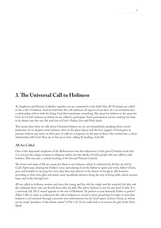## **3. The Universal Call to Holiness**

As Anglicans and Roman Catholics together, we are committed to the belief that all Christians are called to live a life of holiness. And we hold that this call embraces all aspects of our lives. It is an invitation into a relationship of love with the living God that transforms everything. The quest for holiness is the quest for God. It is God's holiness in which we are called to participate. Such participation means nothing less than to be drawn into the very life and love of God—Father, Son and Holy Spirit.

This means that when we talk about Christian holiness we are not immediately speaking about moral perfection. In its deepest sense holiness refers to the glory (doxa) and the love (agape) of God given to persons without any merit on their part. It calls for a response on the part of those who invited into a closer relationship with God. They are to live up to their calling by leading a holy life.

### **All Are Called**

One of the important emphases of the Reformation was the rediscovery of the great Christian truth that it is not just the clergy, or those in religious orders, but the whole of God's people who are called to this holiness. This was also a central teaching of the Second Vatican Council:

The forms and tasks of life are many, but there is one holiness, which is cultivated by all who are led by God's Spirit and, obeying the Father's voice and adoring God the Father in spirit and truth, follow Christ, poor and humble in carrying his cross, that they may deserve to be sharers in his glory. All, however, according to their own gifts and duties must steadfastly advance along the way of living faith, which arouses hope and works through love.

All are called to holiness, women and men, the young and the old, the single and the married, the laity and the ordained, those who are ill and those who are well. The call to holiness is not for any kind of elite. It is a universal call. The Council appeals to the text of Matthew, "be perfect as your heavenly Father is perfect" (Matt 5:48), in order to underscore the call to holiness as central to Jesus' preaching. It makes it clear that holiness is not attained through a person's own achievements but by God's grace in Jesus Christ, in whom we are made "partakers of the divine nature" (2 Pet 1:4). To be made holy is to receive the gift of the Holy Spirit.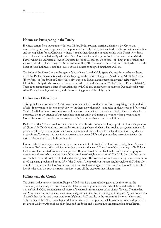### **Holiness as Participating in the Trinity**

Holiness comes from our union with Jesus Christ. By his passion, sacrificial death on the Cross and resurrection, Jesus enables persons, in the power of the Holy Spirit, to share in the holiness that he embodies and accomplishes for us. Christian holiness is established through our relationship with Christ who draws us ever deeper into relationship with the triune God. We know that Jesus lived in intimate union with the Father whom he addressed as "Abba". Repeatedly John's Gospel speaks of Jesus "abiding" in the Father, and speaks of the disciples sharing in this mutual indwelling. The profound relationship with God, which is at the heart of Jesus' holiness, is also the source of our holiness as adopted daughters and sons.

The Spirit of the Risen Christ is the agent of this holiness. It is the Holy Spirit who enables us to be conformed to Christ. Pauline literature is filled with the language of the Spirit as life-giver. Called simply "the Spirit" or the "Holy Spirit" or "the Spirit of Christ," this Spirit is seen by Paul as placing people in dynamic relationship to Christ. It is this Spirit who assures us that we are children of God who cry out "Abba!" (Rom 8:15; see Gal 4:4-6). These texts communicate a three-fold relationship with God that constitutes our holiness: Our relationship with Abba/Father, through Jesus Christ, in the transforming power of the Holy Spirit.

### **Holiness as a Life of Love**

This Spirit-led conformity to Christ involves us in a radical love that is cruciform, requiring a profound gift of self. "If any want to become my followers, let them deny themselves and take up their cross and follow me" (Matt 16:24). Holiness involves following Jesus poor and crucified. It involves us in his kind of loving. Love integrates the many strands of our being into an inner unity and unites a person to other persons and to God. It is in love that we become ourselves and in love alone that we find true fulfilment.

Paul tells us that "God's love has been poured into our hearts through the Holy Spirit that has been given to us" (Rom 5:5). This love always presses forward to a stage beyond what it has reached at a given moment. A person is called by God in his or her own uniqueness and cannot know beforehand what God may demand in the future. The more this love finds expression in a person's life and grounds that person's existence, the more holiness is perfected in his or her life.

Holiness, then, finds expression in the two commandments of love both of God and of neighbour. A person who loves God necessarily participates in God's love for the world. Thus, love of God, sharing in God's love for the world, is directed towards other persons. They are loved in the absolute love of God in keeping with the commandment which makes love of God and love of neighbour so united. The Holy Spirit is the source and the hidden depths of love of God and our neighbour. The love of God and love of neighbour is central to the Gospel and proclaimed in the life of the Church. Along with our human neighbour, love of God involves us in love and respect for God's other creatures. We are learning again in this time that love of God involves love for the land, the seas, the rivers, the forests and all the creatures that inhabit them.

### **Holiness and the Church**

The church is the concrete, historical People of God who have been called together to be the ecclesia, the community of the disciples. This community of disciples is holy because it embodies Christ and his Spirit. The written Word of God is a fundamental source of holiness for the members of the church. Thomas Cranmer has said "that much fruit and holiness must come and grow unto thee by the reading n[of Scripture]." Jesus' declaration "Sanctify them in the truth, your word is truth" (John 17:17) testifies to the relationship between holiness and daily reading of the Bible. Through prayerful immersion in the Scriptures, the Christian sees holiness displayed in the acts of God towards us, above all in Jesus and the Spirit, and is drawn into the communion of the Trinity.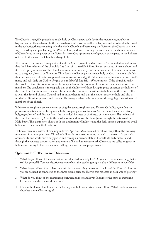The Church is tangibly graced and made holy by Christ anew each day in the sacraments, notably in baptism and in the eucharist. In the last analysis it is Christ himself who baptises and who breaks the bread in the eucharist, thereby making holy the whole Church and bestowing the Spirit on the Church in a new way. In reading and proclaiming the Word of God, and in celebrating the sacraments, the church partakes of Christ Jesus in the power of the Spirit. By these God-given means of grace, it participates in the holiness of God. In this sense the Church is always holy.

This holiness that comes through Christ and the Spirit, present in Word and in Sacrament, does not mean that the life or witness of the church is free from sin or terrible failure. Recent accounts of sexual abuse, and its cover-up, by ministers of the church are fresh in our memory. Furthermore, none of us can claim to live up to the grace given to us. The more Christian try to live as persons made holy by God, the more painfully they become aware of their own powerlessness, weakness and guilt. All of us are continuously in need God's mercy and rely daily on God to "forgive us our debts" (Matt 6:12). We are sinners. If the church is really the people of God, its holiness cannot be independent of the holiness of the women and men who are its members. The conclusion is inescapable that as the holiness of those living in grace enhances the holiness of the church, so the sinfulness of its members must also diminish the witness to holiness of the church. This is what the Second Vatican Council had in mind when it said that the church is at once holy and also in need of purification, penance and renewal. This suggests that holiness requires the ongoing conversion of all members of the church.

While some Anglicans see conversion as singular event, Anglicans and Roman Catholics agree that the process of sanctification or being made holy is ongoing and continuous. So for them, the church is truly holy, regardless of, and distinct from, the individual holiness or sinfulness of its members. The holiness of the church is declared by God to those who know and follow the Lord Jesus through the actions of the Holy Spirit. This distinction allows both the declaration of holiness and the daily tension experienced by all believers in their pursuit of holiness.

Holiness, then, is a matter of "walking in love" (Eph 5:2). We are called to follow this path in the ordinary moments of our everyday lives. Christian holiness is not a road running parallel to the road of a person's ordinary life and work, but is engaged in and through a person's state of life with its daily tasks, in and through the concrete circumstances and events of his or her existence. All Christians are called to grow in holiness according to their own special calling, in ways that are proper to each.

### **Questions for Reflection and Discussion**

- 1. What do you think of the idea that we are all called to a holy life? Do you see this as something that is real for yourself? Can you describe ways in which this teaching might make a difference in your life?
- 2. What do you think of what has been said here about being drawn into the life of the Trinity? How do you see yourself as connected to the three divine persons? How is this reflected in your way of praying?
- 3. What do you think of the relationship between holiness and love? Is holiness the same as authentic loving – or are there some differences?
- 4. Do you think our churches are attractive signs of holiness in Australian culture? What would make our churches more effective signs?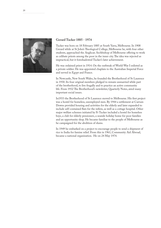

### **Gerard Tucker 1885 - 1974**

Tucker was born on 18 February 1885 at South Yarra, Melbourne. In 1908 Gerard while at St John's Theological College, Melbourne he, with four other students, approached the Anglican Archbishop of Melbourne offering to work as celibate priests among the poor in the inner city. The idea was rejected as impractical, but it foreshadowed Tucker's later achievement.

He was ordained priest in 1914. On the outbreak of World War I enlisted as a private soldier. He was appointed chaplain to the Australian Imperial Force and served in Egypt and France.

In Newcastle, New South Wales, he founded the Brotherhood of St Laurence in 1930. Its four original members pledged to remain unmarried while part of the brotherhood, to live frugally and to practice an active community life. From 1932 The Brotherhood's newsletter, Quarterly Notes, aired many important social issues.

In1933 the Brotherhood of St Laurence moved to Melbourne. His first project was a hostel for homeless, unemployed men. By 1944 a settlement at Carrum Downs provided housing and activities for the elderly and later expanded to include self-contained flats for the infirm, as well as a cottage hospital. Other major welfare schemes initiated by Fr Tucker included a hostel for homeless boys, a club for elderly pensioners, a seaside holiday home for poor families and an opportunity shop. He became familiar to the people of Melbourne as he campaigned for the abolition of slums.

In 1949 he embarked on a project to encourage people to send a shipment of rice to India for famine relief. From this in 1961, Community Aid Abroad, became a national organization. He on 24 May 1974.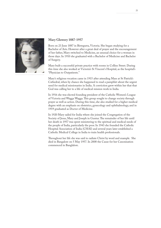

### **Mary Glowery 1887-1957**

Born on 23 June 1887 in Birregurra, Victoria. She began studying for a Bachelor of Arts. However after a great deal of prayer and the encouragement of her father, Mary switched to Medicine, an unusual choice for a woman in those days. In 1910 she graduated with a Bachelor of Medicine and Bachelor of Surgery.

Mary built a successful private practice with rooms in Collins Street. During this time she also worked at Victoria's St Vincent's Hospital, as the hospital's "Physician to Outpatients."

Mary's religious vocation came in 1915 after attending Mass at St Patrick's Cathedral, when by chance she happened to read a pamphlet about the urgent need for medical missionaries in India. A conviction grew within her that that God was calling her to a life of medical mission work in India.

In 1916 she was elected founding president of the Catholic Women's League of Victoria and Wagga Wagga. This group sought to change society through prayer as well as action. During this time, she also studied for a higher medical degree with an emphasis on obstetrics, gynecology and ophthalmology, and in 1919 graduated as Doctor of Medicine.

In 1920 Mary sailed for India where she joined the Congregation of the Society of Jesus, Mary and Joseph in Guntur. The remainder of her life until her death in 1957 was spent ministering to the spiritual and medical needs of the people of India, particularly the poor. In 1943 she founded the Catholic Hospital Association of India (CHAI) and several years later established a Catholic Medical College in India to train health professionals.

Throughout her life she was said to radiate Christ by word and example. She died in Bangalore on 5 May 1957. In 2008 the Cause for her Canonisation commenced in Banglalore.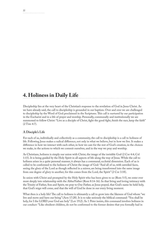## **4. Holiness in Daily Life**

Discipleship lies at the very heart of the Christian's response to the revelation of God in Jesus Christ. As we have already said, the call to discipleship is grounded in our baptism. Over and over we are challenged to discipleship by the Word of God proclaimed in the Scriptures. This call is nurtured by our participation in the Eucharist and in a life of prayer and worship. Personally, communally and institutionally we are summoned to follow Christ: "Live as a disciple of Christ, fight the good fight, finish the race, keep the faith" (2 Tim 4:7).

### **A Disciple's Life**

For each of us, individually and collectively as a community, the call to discipleship is a call to holiness of life. Following Jesus makes a radical difference, not only in what we believe, but in how we live. It makes a difference in how we interact with each other, in how we care for the rest of God's creation, in the choices we make, in the actions to which we commit ourselves, and in the way we pray and worship.

As Christians, holiness is simply our union with Christ, the image of the invisible God (2 Cor 4:4; Col 1:15). It is being guided by the Holy Spirit in all aspects of life along the way of Jesus. While the call to holiness arises in a quite personal manner, it always has a communal, ecclesial dimension. Each of us is called to be conformed to the holiness of Christ the image of God: "And all of us, with unveiled faces, seeing the glory of the Lord as though reflected in a mirror, are being transformed into the same image from one degree of glory to another; for this comes from the Lord, the Spirit" (2 Cor 3:18).

In union with Christ and prompted by the Holy Spirit who has been given to us (Rom 5:5), we enter ever more deeply into relationship with the Abba/Father (Rom 8:14-16). In that living and loving intimacy with the Trinity of Father, Son and Spirit, we pray to Our Father, as Jesus prayed, that God's name be held holy, that God's reign will come, and that the will of God be done in our every living moment.

What then is a holy life? The call to holiness is ultimately a call to grow into the likeness of God whom "we live and move and have our being" (Acts 17:28). It is to take seriously the biblical command: "You shall be holy, for I the LORD your God am holy" (Lev 19:2). As 1 Peter insists, this command involves holiness in our conduct: "Like obedient children, do not be conformed to the former desires that you formally had in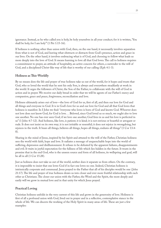ignorance. Instead, as he who called you is holy, be holy yourselves in all your conduct; for it is written, 'You shall be holy, for I am holy'" (1 Pet 1:15-16).

If holiness is nothing other than union with God, then, on the one hand, it necessarily involves separation from what is not of God, and leaving what obstructs or distracts from God's presence, action and grace in our lives. On the other hand, it involves embracing what is of God, and choosing to follow what leads us more deeply into the love of God. It means learning to love all that God loves. The call to holiness requires a commitment to prayer, an attitude of hospitality, an active concern for others, a surrender to the will of God, and a disciplined Christ-like way of life that is worthy of our calling (Eph 4:1-3).

### **Holiness as This-Worldly**

By no means does the life and prayer of true holiness take us out of the world, for it hopes and trusts that God, who so loved the world that he sent his only Son, is always and everywhere steadfastly at work in the world. It urges the followers of Christ, the Son of the Father, to collaborate with the will of God in action and in prayer. We receive our daily bread in order that we will be agents of our Father's mercy and compassion, grace and peace, forgiveness, reconciliation and love.

Holiness ultimately arises out of love—the love of God for us, first of all, and then our love for God and all things and everyone in God. It is in God's love for us and our love for God and all that God loves that holiness is manifest. In I John we find: "everyone who loves is born of God and knows God. Whoever does not love does not know God, for God is love. . . Beloved, since God loved us so much, we ought also to love one another. No one has ever seen God; if we love one another, God lives in us and his love is perfected in us" (1 John 4:7-12). And holiness, like love, is patient; it is kind; it is not envious or boastful or arrogant or rude. It does not insist on its own way; it is not irritable or resentful; it does not rejoice in wrongdoing, but rejoices in the truth. It bears all things, believes all things, hopes all things, endures all things" (1 Cor 13:4- 8).

Sharing in the mind of Jesus, inspired by his Spirit and attuned to the will of the Father, Christian holiness sees the world with faith, hope and love. It radiates a message of unquenchable hope into the world of suffering, depression and disillusionment. It refuses to be defeated by the apparent failures, disappointments and evil. It waits in joyful expectation for the fullness of life which lies hidden in the future. It trusts in the promise that in the end God, who is the unseen source and form of all holiness, its wellspring and goal, will be all in all (1 Cor 15:28).

Just as holiness does not take us out of the world, neither does it separate us from others. On the contrary, it is impossible to insist that one loves God if in fact one loves no one. Indeed, Christian holiness is intrinsically corporate and communal. Jesus prayed to the Father that all of his disciples would be one ( John 21:17). The life and prayer of true holiness draws us into closer and ever more fruitful relationship with each other as Christians. The closer our union with the Father, the Word and the Spirit, the more deeply and easily will we grow in mutual love and in that unity for which Jesus prayed.

### **Practical Loving**

Christian holiness unfolds in the very current of this life and grows in the generosity of love. Holiness is first of all a profound union with God, lived out in prayer and in a reflective, contemplative stance in the whole of life. We can discern the working of the Holy Spirit in many areas of life. These are just a few examples: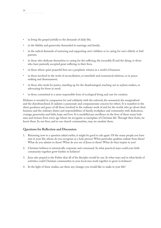- in living the gospel joyfully in the demands of daily life;
- in the fidelity and generosity demanded in marriage and family;
- in the radical demands of nurturing and supporting one's children or in caring for one's elderly or frail parents;
- in those who dedicate themselves to caring for the suffering, the incurably ill and the dying, or those who have patiently accepted great suffering in their lives;
- in those whose quiet prayerful lives are a prophetic witness in a world of busyness
- in those involved in the work of reconciliation, in interfaith and ecumenical relations, or in peacemaking and disarmament;
- in those who work for justice, standing up for the disadvantaged, reaching out to asylum seekers, or advocating for those in need;
- in those committed to a more responsible form of ecological living and care for creation.

Holiness is revealed in compassion for and solidarity with the unloved, the unwanted, the marginalised and the disenfranchised. It radiates a passionate and compassionate concern for others. It is manifest in the sheer goodness and grace of all those involved in the ordinary work of and for the world, who go about their business and the ordinary duties and responsibilities of family, workplace and community with dedication, courage, generosity, and faith, hope and love. It is modelled par excellence in the lives of those many holy men and women from every age whom we recognize as exemplars of Christian life. Through their fruits, we know them. In our lives, and in our church communities, may we emulate them.

#### **Questions for Reflection and Discussion**

- 1. Returning now to a question asked earlier, it might be good to ask again: Of the many people you have met in your life, whom do you recognise as a holy person? What particular qualities radiate from them? What do you admire in them? What do you see of Jesus in them? What do they inspire in you?
- 2. Christian holiness is intrinsically corporate and communal. In what practical ways could your faith community together grow further in holiness?
- 3. Jesus also prayed to the Father that all of his disciples would be one. In what ways and in what kinds of activities could Christian communities in your local area work together to grow in holiness?
- 4. In the light of these studies, are there any changes you would like to make in your life?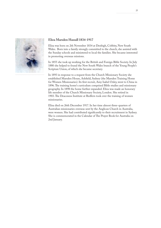

### **Eliza Marsden Hassall 1834-1917**

Eliza was born on 2th November 1834 at Denbigh, Cobbity, New South Wales. Born into a family strongly committed to the church, she assisted with the Sunday schools and ministered to local the families. She became interested in promoting overseas missions.

In 1855 she took up working for the British and Foreign Bible Society. In July 1880 she helped to found the New South Wales branch of the Young People's Scripture Union, of which she became secretary.

In 1893 in response to a request from the Church Missionary Society she established Marsden House, Ashfield, Sydney (the Marsden Training Home for Women Missionaries). Its first recruit, Amy Isabel Oxley, went to China in 1896. The training home's curriculum comprised Bible studies and missionary geography. In 1898 the home further expanded. Eliza was made an honorary life member of the Church Missionary Society, London. She retired in 1903. The Deaconess Institute at Redfern took over the training of women missionaries.

Eliza died on 26th December 1917. In her time almost three-quarters of Australian missionaries overseas sent by the Anglican Church in Australia, were women. She had contributed significantly to their recruitment in Sydney. She is commemorated in the Calendar of The Prayer Book for Australia on 2nd January.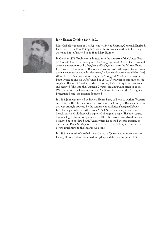

### **John Brown Gribble 1847-1893**

John Gribble was born on 1st September 1847 at Redruth, Cornwall, England. He arrived in the Port Phillip in 1848 with his parents, settling in Geelong, where he himself married in 1868 to Mary Bulmer.

In October 1876 Gribble was admitted into the ministry of the United Free Methodist Church, but soon joined the Congregational Union of Victoria and became a missionary at Rutherglen and Wahgunyah near the Murray River. His travels led him into the Riverina and contact with Aboriginal tribes. From these encounters he wrote his first work, "*A Plea for the Aborigines of New South Wales*". He settling down at Warangesdah Aboriginal Mission, Darlington Point which he and his wife founded in 1879. After a visit to this mission, the Anglican Bishop of Goulburn, Mesac Thomas, decided to sponsor this work and received John into the Anglican Church, ordaining him priest in 1883. With help from the Government, the Anglican Diocese and the Aborigines Protection Board, the mission flourished.

In 1884, John was invited by Bishop Henry Parry of Perth to work in Western Australia. In 1885 he established a mission on the Gascoyne River, an initiative that was strongly opposed by the settlers who exploited aboriginal labour. In 1886 he published a further work, "*Dark Deeds in a Sunny Land*" which fiercely criticized all those who exploited aboriginal people. The book caused him much grief from his opponents. In 1887 the mission was abandoned and he moved back to New South Wales, where he opened another mission on the Darling River. Serving as Rector of Temora and Batlow, he continued to devote much time to the Indigenous people.

In 1892 he moved to Yarrabah, near Cairns in Queensland to open a mission. Falling ill from malaria he retired to Sydney and died on 3rd June 1893.